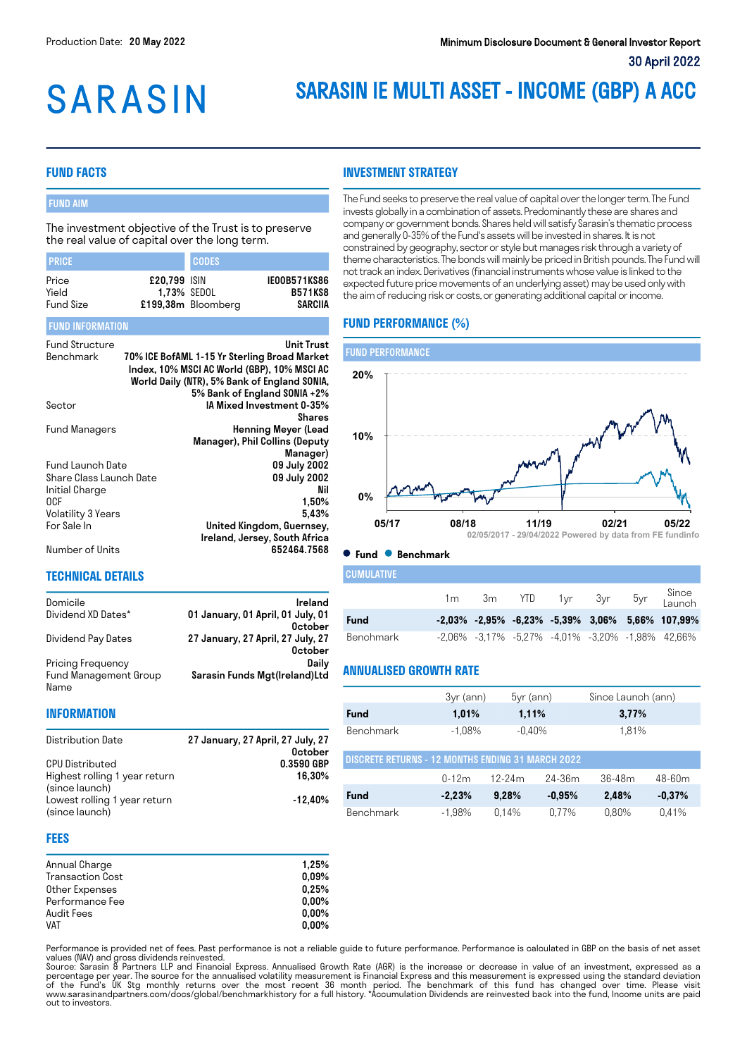# **SARASIN**

# SARASIN IE MULTI ASSET - INCOME (GBP) A ACC

# **FUND FACTS**

# FUND AIM

The investment objective of the Trust is to preserve the real value of capital over the long term.

| <b>I PRICE</b>                     |                                    | <b>CODES</b>       |                                                  |
|------------------------------------|------------------------------------|--------------------|--------------------------------------------------|
| Price<br>Yield<br><b>Fund Size</b> | £20,799 ISIN<br><b>1.73% SEDOL</b> | £199,38m Bloomberg | <b>IE00B571KS86</b><br><b>B571KS8</b><br>SARCIIA |

#### FUND INFORMATION

| <b>Fund Structure</b>   | <b>Unit Trust</b>                            |
|-------------------------|----------------------------------------------|
| Benchmark               | 70% ICE BofAML 1-15 Yr Sterling Broad Market |
|                         | Index, 10% MSCI AC World (GBP), 10% MSCI AC  |
|                         | World Daily (NTR), 5% Bank of England SONIA, |
|                         | 5% Bank of England SONIA +2%                 |
| Sector                  | IA Mixed Investment 0-35%                    |
|                         | Shares                                       |
| Fund Managers           | <b>Henning Meyer (Lead</b>                   |
|                         | Manager), Phil Collins (Deputy               |
|                         | Manager)                                     |
| Fund Launch Date        | 09 July 2002                                 |
| Share Class Launch Date | 09 July 2002                                 |
| Initial Charge          | Nil                                          |
| 0CF                     | 1,50%                                        |
| Volatility 3 Years      | 5.43%                                        |
| For Sale In             | United Kingdom, Guernsey,                    |
|                         | Ireland, Jersey, South Africa                |
| Number of Units         | 652464.7568                                  |

Domicile **Ireland** Dividend XD Dates\* 01 January, 01 April, 01 July, 01

Dividend Pay Dates 27 January, 27 April, 27 July, 27

Distribution Date 27 January, 27 April, 27 July, 27

# **INVESTMENT STRATEGY**

The Fund seeks to preserve the real value of capital over the longer term. The Fund invests globally in a combination of assets. Predominantly these are shares and company or government bonds. Shares held will satisfy Sarasin's thematic process and generally 0-35% of the Fund's assets will be invested in shares. It is not constrained by geography, sector or style but manages risk through a variety of theme characteristics. The bonds will mainly be priced in British pounds. The Fund will not track an index. Derivatives (financial instruments whose value is linked to the expected future price movements of an underlying asset) may be used only with the aim of reducing risk or costs, or generating additional capital or income.

# **FUND PERFORMANCE (%)**



**Fund Benchmark**

**October** 

October<br>Daily

October<br>0.3590 GBP

16,30%

-12,40%

Sarasin Funds Mgt(Ireland)Ltd

| I CUMULATIVE |    |  |  |                                                                   |
|--------------|----|--|--|-------------------------------------------------------------------|
|              | 1m |  |  | 3m YTD 1yr 3yr 5yr Since                                          |
| <b>Fund</b>  |    |  |  | $-2,03\%$ $-2,95\%$ $-6,23\%$ $-5,39\%$ $3,06\%$ $5,66\%$ 107,99% |
| Benchmark    |    |  |  | -2,06% -3,17% -5,27% -4,01% -3,20% -1,98% 42,66%                  |

# **ANNUALISED GROWTH RATE**

|                                                   | 3yr (ann) | $5yr$ (ann) | Since Launch (ann) |  |  |
|---------------------------------------------------|-----------|-------------|--------------------|--|--|
| <b>Fund</b>                                       | 1.01%     | 1,11%       | 3.77%              |  |  |
| Benchmark                                         | $-1.08\%$ | $-0.40\%$   | 1.81%              |  |  |
| DISCRETE RETURNS - 12 MONTHS ENDING 31 MARCH 2022 |           |             |                    |  |  |

| I DIOURLIL RETURNO " TZ MIUNTITO ENDING OT MARCHI ZUZZ |           |              |           |         |           |
|--------------------------------------------------------|-----------|--------------|-----------|---------|-----------|
|                                                        |           | 0-12m 12-24m | 24-36m    | .36-48m | 48-60m    |
| <b>Fund</b>                                            | $-2.23\%$ | 9.28%        | $-0.95\%$ | 2.48%   | $-0.37\%$ |
| Benchmark                                              |           | -1.98% 0.14% | 0.77%     | 0.80%   | 0.41%     |

#### **FEES**

Name

Pricing Frequency Fund Management Group

**TECHNICAL DETAILS**

**CPU Distributed** 

**INFORMATION**

(since launch)

(since launch)

Highest rolling 1 year return

Lowest rolling 1 year return

| Annual Charge           | 1.25%    |
|-------------------------|----------|
| <b>Transaction Cost</b> | $0.09\%$ |
| Other Expenses          | 0.25%    |
| Performance Fee         | $0.00\%$ |
| Audit Fees              | $0.00\%$ |
| <b>VAT</b>              | $0.00\%$ |

Performance is provided net of fees. Past performance is not a reliable guide to future performance. Performance is calculated in GBP on the basis of net asset

values (NAV) and gross dividends reinvested.<br>Source: Sarasin & Partners LLP and Financial Express. Annualised Growth Rate (AGR) is the increase or decrease in value of an investment, expressed as a<br>percentage per year. The out to investors.